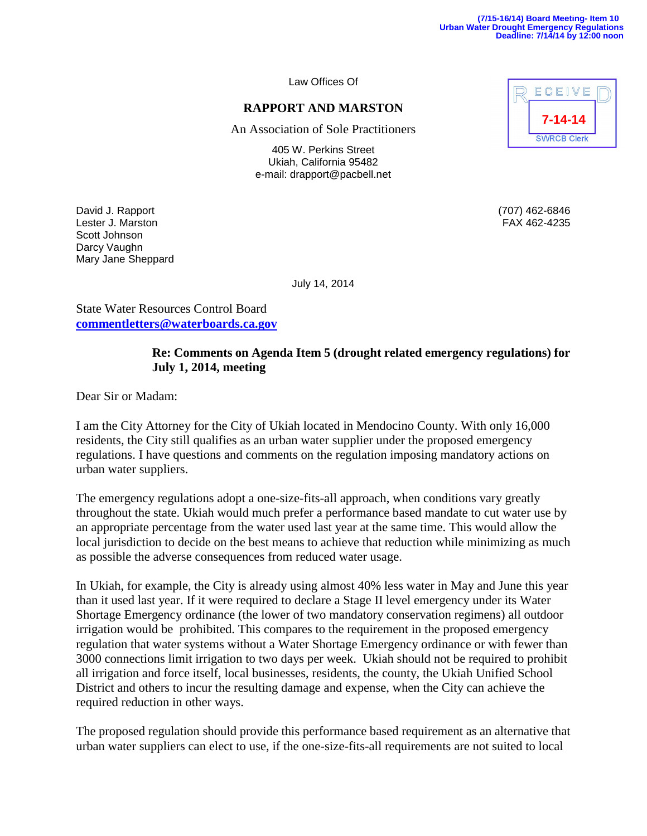Law Offices Of

## **RAPPORT AND MARSTON**

An Association of Sole Practitioners

405 W. Perkins Street Ukiah, California 95482 e-mail: drapport@pacbell.net

David J. Rapport (707) 462-6846 Lester J. Marston FAX 462-4235 Scott Johnson Darcy Vaughn Mary Jane Sheppard



July 14, 2014

State Water Resources Control Board **commentletters@waterboards.ca.gov**

## **Re: Comments on Agenda Item 5 (drought related emergency regulations) for July 1, 2014, meeting**

Dear Sir or Madam:

I am the City Attorney for the City of Ukiah located in Mendocino County. With only 16,000 residents, the City still qualifies as an urban water supplier under the proposed emergency regulations. I have questions and comments on the regulation imposing mandatory actions on urban water suppliers.

The emergency regulations adopt a one-size-fits-all approach, when conditions vary greatly throughout the state. Ukiah would much prefer a performance based mandate to cut water use by an appropriate percentage from the water used last year at the same time. This would allow the local jurisdiction to decide on the best means to achieve that reduction while minimizing as much as possible the adverse consequences from reduced water usage.

In Ukiah, for example, the City is already using almost 40% less water in May and June this year than it used last year. If it were required to declare a Stage II level emergency under its Water Shortage Emergency ordinance (the lower of two mandatory conservation regimens) all outdoor irrigation would be prohibited. This compares to the requirement in the proposed emergency regulation that water systems without a Water Shortage Emergency ordinance or with fewer than 3000 connections limit irrigation to two days per week. Ukiah should not be required to prohibit all irrigation and force itself, local businesses, residents, the county, the Ukiah Unified School District and others to incur the resulting damage and expense, when the City can achieve the required reduction in other ways.

The proposed regulation should provide this performance based requirement as an alternative that urban water suppliers can elect to use, if the one-size-fits-all requirements are not suited to local